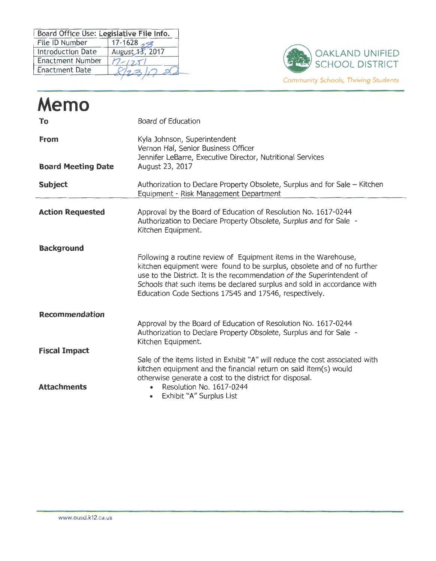| Board Office Use: Legislative File Info. |                   |
|------------------------------------------|-------------------|
| File ID Number                           | 17-1628 $\approx$ |
| <b>Introduction Date</b>                 | August 13, 2017   |
| <b>Enactment Number</b>                  | $1 - 125$         |
| <b>Enactment Date</b>                    |                   |



| Memo                                       |                                                                                                                                                                                                                                                                                                                                                          |
|--------------------------------------------|----------------------------------------------------------------------------------------------------------------------------------------------------------------------------------------------------------------------------------------------------------------------------------------------------------------------------------------------------------|
| To                                         | Board of Education                                                                                                                                                                                                                                                                                                                                       |
| <b>From</b>                                | Kyla Johnson, Superintendent<br>Vernon Hal, Senior Business Officer<br>Jennifer LeBarre, Executive Director, Nutritional Services                                                                                                                                                                                                                        |
| <b>Board Meeting Date</b>                  | August 23, 2017                                                                                                                                                                                                                                                                                                                                          |
| <b>Subject</b>                             | Authorization to Declare Property Obsolete, Surplus and for Sale - Kitchen<br>Equipment - Risk Management Department                                                                                                                                                                                                                                     |
| <b>Action Requested</b>                    | Approval by the Board of Education of Resolution No. 1617-0244<br>Authorization to Declare Property Obsolete, Surplus and for Sale -<br>Kitchen Equipment.                                                                                                                                                                                               |
| <b>Background</b>                          | Following a routine review of Equipment items in the Warehouse,<br>kitchen equipment were found to be surplus, obsolete and of no further<br>use to the District. It is the recommendation of the Superintendent of<br>Schools that such items be declared surplus and sold in accordance with<br>Education Code Sections 17545 and 17546, respectively. |
| <b>Recommendation</b>                      | Approval by the Board of Education of Resolution No. 1617-0244<br>Authorization to Declare Property Obsolete, Surplus and for Sale -<br>Kitchen Equipment.                                                                                                                                                                                               |
| <b>Fiscal Impact</b><br><b>Attachments</b> | Sale of the items listed in Exhibit "A" will reduce the cost associated with<br>kitchen equipment and the financial return on said item(s) would<br>otherwise generate a cost to the district for disposal.<br>Resolution No. 1617-0244<br>Exhibit "A" Surplus List<br>$\bullet$                                                                         |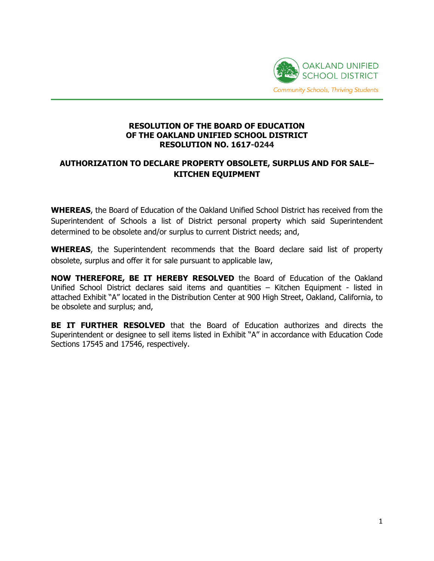

## **RESOLUTION OF THE BOARD OF EDUCATION OF THE OAKLAND UNIFIED SCHOOL DISTRICT RESOLUTION NO. 1617-0244**

## **AUTHORIZATION TO DECLARE PROPERTY OBSOLETE, SURPLUS AND FOR SALE– KITCHEN EQUIPMENT**

**WHEREAS**, the Board of Education of the Oakland Unified School District has received from the Superintendent of Schools a list of District personal property which said Superintendent determined to be obsolete and/or surplus to current District needs; and,

**WHEREAS**, the Superintendent recommends that the Board declare said list of property obsolete, surplus and offer it for sale pursuant to applicable law,

**NOW THEREFORE, BE IT HEREBY RESOLVED** the Board of Education of the Oakland Unified School District declares said items and quantities – Kitchen Equipment - listed in attached Exhibit "A" located in the Distribution Center at 900 High Street, Oakland, California, to be obsolete and surplus; and,

**BE IT FURTHER RESOLVED** that the Board of Education authorizes and directs the Superintendent or designee to sell items listed in Exhibit "A" in accordance with Education Code Sections 17545 and 17546, respectively.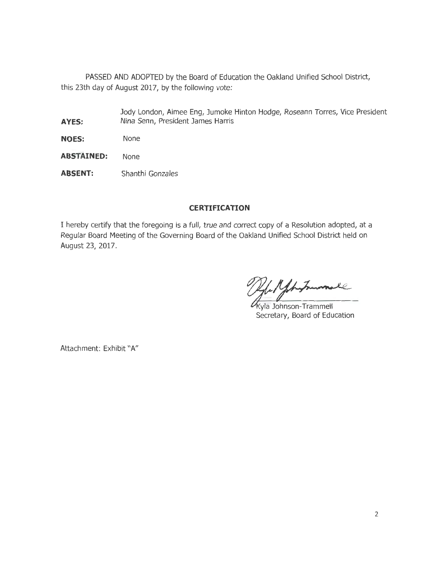PASSED AND ADOPTED by the Board of Education the Oakland Unified School District, this 23th day of August 2017, by the following vote:

- Jody London, Aimee Eng, Jumoke Hinton Hodge, Roseann Torres, Vice President **AYES:** Nina Senn, President James Harris
- **NOES:** None
- **ABSTAINED:** None
- **ABSENT:** Shanthi Gonzales

## **CERTIFICATION**

I hereby certify that the foregoing is a full, true and correct copy of a Resolution adopted, at a Regular Board Meeting of the Governing Board of the Oakland Unified School District held on August 23, 2017.

yle Myhytrammell

Secretary, Board of Education

Attachment: Exhibit "A"